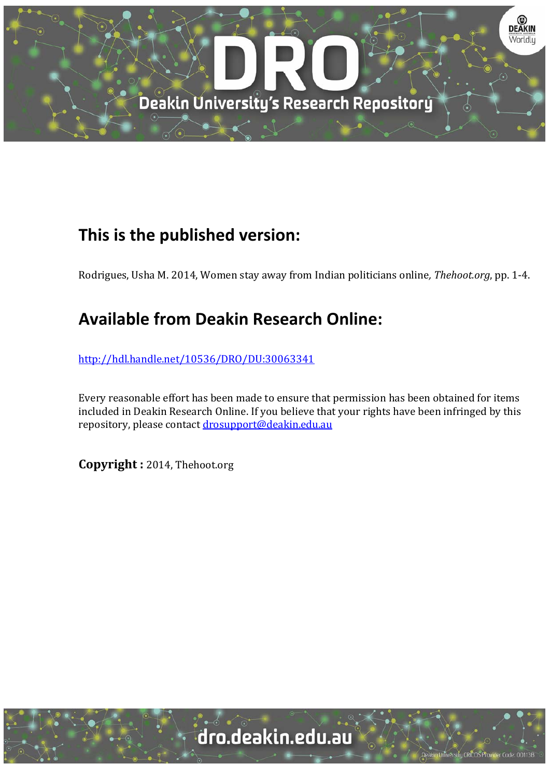

## **This is the published version:**

Rodrigues, Usha M. 2014, Women stay away from Indian politicians online, *Thehoot.org*, pp. 1-4.

## **Available from Deakin Research Online:**

http://hdl.handle.net/10536/DRO/DU:30063341

Every reasonable effort has been made to ensure that permission has been obtained for items included in Deakin Research Online. If you believe that your rights have been infringed by this repository, please contact drosupport@deakin.edu.au

**Copyright :** 2014, Thehoot.org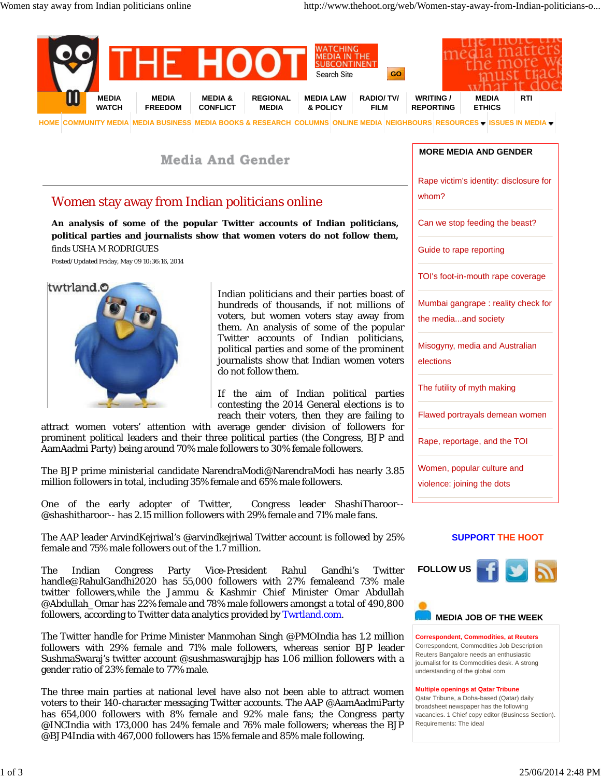

**Media And Gender** 

## Women stay away from Indian politicians online

**An analysis of some of the popular Twitter accounts of Indian politicians, political parties and journalists show that women voters do not follow them,** finds USHA M RODRIGUES

Posted/Updated Friday, May 09 10:36:16, 2014



Indian politicians and their parties boast hundreds of thousands, if not millions voters, but women voters stay away fro them. An analysis of some of the popul Twitter accounts of Indian politician political parties and some of the promine journalists show that Indian women vote do not follow them.

If the aim of Indian political parti contesting the 2014 General elections is reach their voters, then they are failing

attract women voters' attention with average gender division of followers f prominent political leaders and their three political parties (the Congress, BJP and AamAadmi Party) being around 70% male followers to 30% female followers.

The BJP prime ministerial candidate NarendraModi@NarendraModi has nearly 3.85 million followers in total, including 35% female and 65% male followers.

One of the early adopter of Twitter, Congress leader ShashiTharoor @shashitharoor-- has 2.15 million followers with 29% female and 71% male fans.

The AAP leader ArvindKejriwal's @arvindkejriwal Twitter account is followed by 25% female and 75% male followers out of the 1.7 million.

The Indian Congress Party Vice-President Rahul Gandhi's Twitter handle@RahulGandhi2020 has 55,000 followers with 27% femaleand 73% male twitter followers,while the Jammu & Kashmir Chief Minister Omar Abdullah @Abdullah\_Omar has 22% female and 78% male followers amongst a total of 490,800 followers, according to Twitter data analytics provided by Twrtland.com.

The Twitter handle for Prime Minister Manmohan Singh @PMOIndia has 1.2 million followers with 29% female and 71% male followers, whereas senior BJP leader SushmaSwaraj's twitter account @sushmaswarajbjp has 1.06 million followers with a gender ratio of 23% female to 77% male.

The three main parties at national level have also not been able to attract women voters to their 140-character messaging Twitter accounts. The AAP @AamAadmiParty has 654,000 followers with 8% female and 92% male fans; the Congress party @INCIndia with 173,000 has 24% female and 76% male followers; whereas the BJP @BJP4India with 467,000 followers has 15% female and 85% male following.

| <b>MORE MEDIA AND GENDER</b>                               |
|------------------------------------------------------------|
| Rape victim's identity: disclosure for<br>whom?            |
| Can we stop feeding the beast?                             |
| Guide to rape reporting                                    |
| TOI's foot-in-mouth rape coverage                          |
| Mumbai gangrape: reality check for<br>the mediaand society |
| Misogyny, media and Australian<br>elections                |
| The futility of myth making                                |
| Flawed portrayals demean women                             |
| Rape, reportage, and the TOI                               |
| Women, popular culture and                                 |
| violence: joining the dots                                 |

## **SUPPORT THE HOOT**





**Correspondent, Commodities, at Reuters** Correspondent, Commodities Job Description Reuters Bangalore needs an enthusiastic journalist for its Commodities desk. A strong understanding of the global com

**Multiple openings at Qatar Tribune**

Qatar Tribune, a Doha-based (Qatar) daily broadsheet newspaper has the following vacancies. 1 Chief copy editor (Business Section). Requirements: The ideal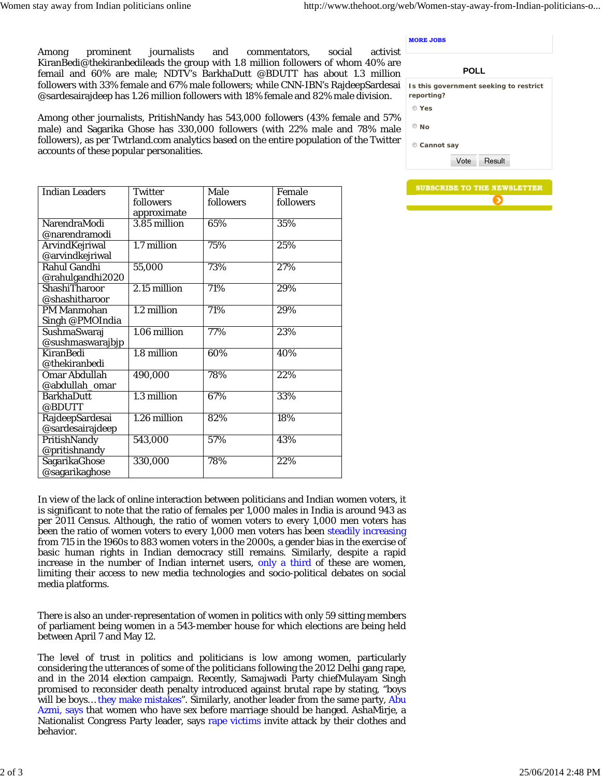**MORE JOBS**

Among prominent journalists and commentators, social activist KiranBedi@thekiranbedileads the group with 1.8 million followers of whom 40% are femail and 60% are male; NDTV's BarkhaDutt @BDUTT has about 1.3 million followers with 33% female and 67% male followers; while CNN-IBN's RajdeepSardesai @sardesairajdeep has 1.26 million followers with 18% female and 82% male division.

Among other journalists, PritishNandy has 543,000 followers (43% female and 57% male) and Sagarika Ghose has 330,000 followers (with 22% male and 78% male followers), as per Twtrland.com analytics based on the entire population of the Twitter accounts of these popular personalities.

| <b>Indian Leaders</b> | <b>Twitter</b> | Male      | Female    |
|-----------------------|----------------|-----------|-----------|
|                       | followers      | followers | followers |
|                       | approximate    |           |           |
| NarendraModi          | 3.85 million   | 65%       | 35%       |
| @narendramodi         |                |           |           |
| ArvindKejriwal        | 1.7 million    | 75%       | 25%       |
| @arvindkejriwal       |                |           |           |
| Rahul Gandhi          | 55,000         | 73%       | 27%       |
| @rahulgandhi2020      |                |           |           |
| <b>ShashiTharoor</b>  | 2.15 million   | 71%       | 29%       |
| @shashitharoor        |                |           |           |
| <b>PM Manmohan</b>    | 1.2 million    | 71%       | 29%       |
| Singh @PMOIndia       |                |           |           |
| SushmaSwaraj          | 1.06 million   | 77%       | 23%       |
| @sushmaswarajbjp      |                |           |           |
| <b>KiranBedi</b>      | 1.8 million    | 60%       | 40%       |
| @thekiranbedi         |                |           |           |
| Omar Abdullah         | 490,000        | 78%       | 22%       |
| @abdullah_omar        |                |           |           |
| <b>BarkhaDutt</b>     | 1.3 million    | 67%       | 33%       |
| @BDUTT                |                |           |           |
| RajdeepSardesai       | 1.26 million   | 82%       | 18%       |
| @sardesairajdeep      |                |           |           |
| PritishNandy          | 543,000        | 57%       | 43%       |
| @pritishnandy         |                |           |           |
| SagarikaGhose         | 330,000        | 78%       | 22%       |
| @sagarikaghose        |                |           |           |

In view of the lack of online interaction between politicians and Indian women voters, it is significant to note that the ratio of females per 1,000 males in India is around 943 as per 2011 Census. Although, the ratio of women voters to every 1,000 men voters has been the ratio of women voters to every 1,000 men voters has been steadily increasing from 715 in the 1960s to 883 women voters in the 2000s, a gender bias in the exercise of basic human rights in Indian democracy still remains. Similarly, despite a rapid increase in the number of Indian internet users, only a third of these are women, limiting their access to new media technologies and socio-political debates on social media platforms.

There is also an under-representation of women in politics with only 59 sitting members of parliament being women in a 543-member house for which elections are being held between April 7 and May 12.

The level of trust in politics and politicians is low among women, particularly considering the utterances of some of the politicians following the 2012 Delhi gang rape, and in the 2014 election campaign. Recently, Samajwadi Party chiefMulayam Singh promised to reconsider death penalty introduced against brutal rape by stating, "boys will be boys... they make mistakes". Similarly, another leader from the same party, Abu Azmi, says that women who have sex before marriage should be hanged. AshaMirje, a Nationalist Congress Party leader, says rape victims invite attack by their clothes and behavior.

| <b>POLL</b>      |      |                                        |  |  |
|------------------|------|----------------------------------------|--|--|
| reporting?       |      | Is this government seeking to restrict |  |  |
| $\mathbb{C}$ Yes |      |                                        |  |  |
| Nο               |      |                                        |  |  |
| Cannot say       |      |                                        |  |  |
|                  | Vote | Result                                 |  |  |

|  | <b>SUBSCRIBE TO THE NEWSLETTER</b> |  |
|--|------------------------------------|--|
|  |                                    |  |